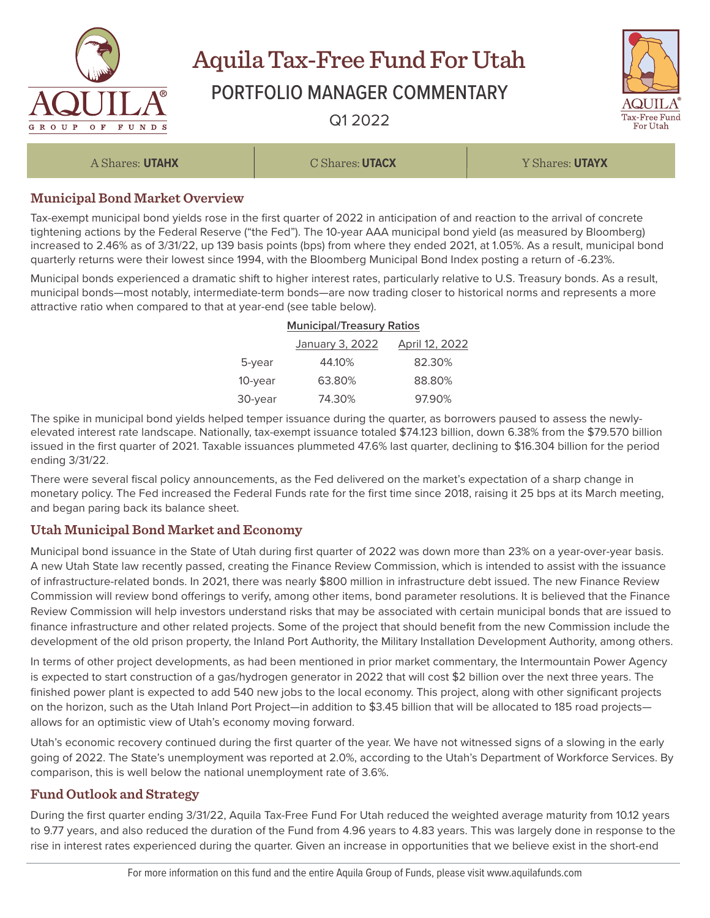

# Aquila Tax-Free Fund For Utah

# PORTFOLIO MANAGER COMMENTARY

Q1 2022



A Shares: **UTAHX** C Shares: **UTACX** Y Shares: **UTAYX**

## **Municipal Bond Market Overview**

Tax-exempt municipal bond yields rose in the first quarter of 2022 in anticipation of and reaction to the arrival of concrete tightening actions by the Federal Reserve ("the Fed"). The 10-year AAA municipal bond yield (as measured by Bloomberg) increased to 2.46% as of 3/31/22, up 139 basis points (bps) from where they ended 2021, at 1.05%. As a result, municipal bond quarterly returns were their lowest since 1994, with the Bloomberg Municipal Bond Index posting a return of -6.23%.

Municipal bonds experienced a dramatic shift to higher interest rates, particularly relative to U.S. Treasury bonds. As a result, municipal bonds—most notably, intermediate-term bonds—are now trading closer to historical norms and represents a more attractive ratio when compared to that at year-end (see table below).

#### **Municipal/Treasury Ratios**

|         | January 3, 2022 | April 12, 2022 |
|---------|-----------------|----------------|
| 5-year  | 44.10%          | 82.30%         |
| 10-year | 63.80%          | 88.80%         |
| 30-vear | 74.30%          | 97.90%         |

The spike in municipal bond yields helped temper issuance during the quarter, as borrowers paused to assess the newlyelevated interest rate landscape. Nationally, tax-exempt issuance totaled \$74.123 billion, down 6.38% from the \$79.570 billion issued in the first quarter of 2021. Taxable issuances plummeted 47.6% last quarter, declining to \$16.304 billion for the period ending 3/31/22.

There were several fiscal policy announcements, as the Fed delivered on the market's expectation of a sharp change in monetary policy. The Fed increased the Federal Funds rate for the first time since 2018, raising it 25 bps at its March meeting, and began paring back its balance sheet.

### **Utah Municipal Bond Market and Economy**

Municipal bond issuance in the State of Utah during first quarter of 2022 was down more than 23% on a year-over-year basis. A new Utah State law recently passed, creating the Finance Review Commission, which is intended to assist with the issuance of infrastructure-related bonds. In 2021, there was nearly \$800 million in infrastructure debt issued. The new Finance Review Commission will review bond offerings to verify, among other items, bond parameter resolutions. It is believed that the Finance Review Commission will help investors understand risks that may be associated with certain municipal bonds that are issued to finance infrastructure and other related projects. Some of the project that should benefit from the new Commission include the development of the old prison property, the Inland Port Authority, the Military Installation Development Authority, among others.

In terms of other project developments, as had been mentioned in prior market commentary, the Intermountain Power Agency is expected to start construction of a gas/hydrogen generator in 2022 that will cost \$2 billion over the next three years. The finished power plant is expected to add 540 new jobs to the local economy. This project, along with other significant projects on the horizon, such as the Utah Inland Port Project—in addition to \$3.45 billion that will be allocated to 185 road projects allows for an optimistic view of Utah's economy moving forward.

Utah's economic recovery continued during the first quarter of the year. We have not witnessed signs of a slowing in the early going of 2022. The State's unemployment was reported at 2.0%, according to the Utah's Department of Workforce Services. By comparison, this is well below the national unemployment rate of 3.6%.

# **Fund Outlook and Strategy**

During the first quarter ending 3/31/22, Aquila Tax-Free Fund For Utah reduced the weighted average maturity from 10.12 years to 9.77 years, and also reduced the duration of the Fund from 4.96 years to 4.83 years. This was largely done in response to the rise in interest rates experienced during the quarter. Given an increase in opportunities that we believe exist in the short-end